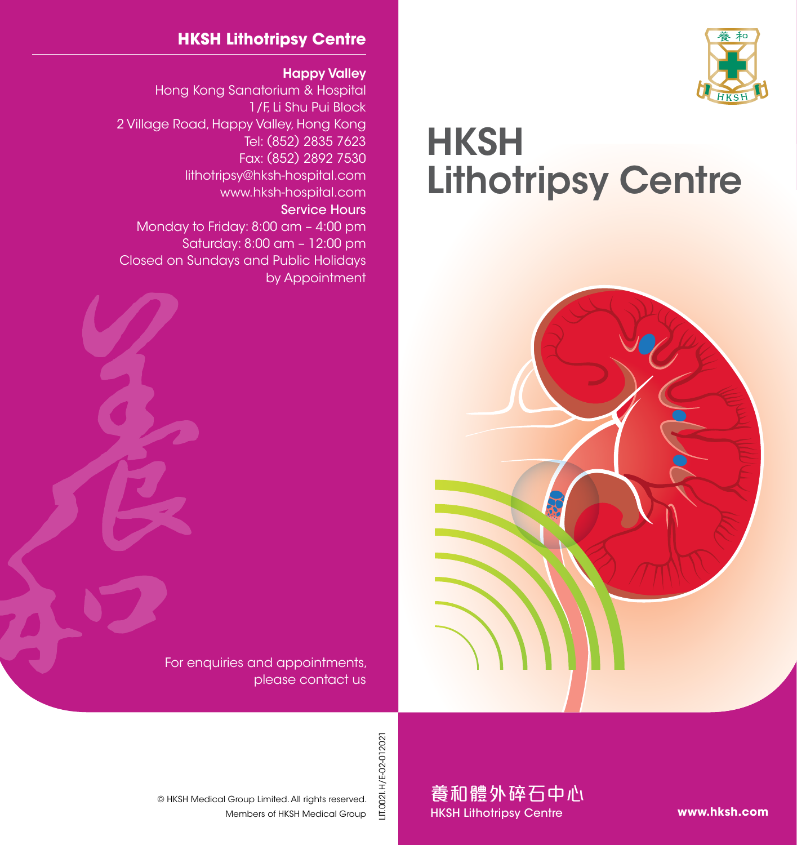

## **HKSH** Lithotripsy Centre



## **HKSH Lithotripsy Centre**

Happy Valley

Hong Kong Sanatorium & Hospital 1/F, Li Shu Pui Block 2 Village Road, Happy Valley, Hong Kong Tel: (852) 2835 7623 Fax: (852) 2892 7530 lithotripsy@hksh-hospital.com www.hksh-hospital.com Service Hours Monday to Friday: 8:00 am – 4:00 pm Saturday: 8:00 am – 12:00 pm Closed on Sundays and Public Holidays by Appointment

> For enquiries and appointments, please contact us

> > LIT.0021.H/E-02-012021 LIT.002I.H/E-02-012021

Members of HKSH Medical Group © HKSH Medical Group Limited. All rights reserved.

養和體外碎石中心 HKSH Lithotripsy Centre

**www.hksh.com**